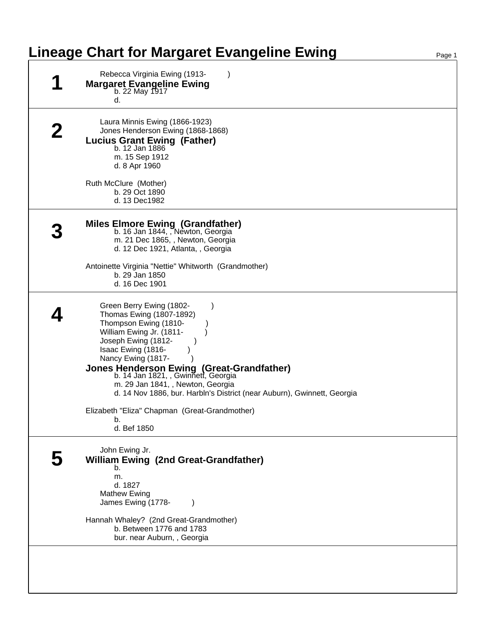## **Lineage Chart for Margaret Evangeline Ewing**

| Rebecca Virginia Ewing (1913-<br><b>Margaret Evangeline Ewing</b><br>b. 22 May 1917<br>d.                                                                                                                                        |
|----------------------------------------------------------------------------------------------------------------------------------------------------------------------------------------------------------------------------------|
| Laura Minnis Ewing (1866-1923)<br>Jones Henderson Ewing (1868-1868)<br><b>Lucius Grant Ewing (Father)</b><br>b. 12 Jan 1886<br>m. 15 Sep 1912<br>d. 8 Apr 1960                                                                   |
| Ruth McClure (Mother)<br>b. 29 Oct 1890<br>d. 13 Dec1982                                                                                                                                                                         |
| Miles Elmore Ewing (Grandfather)<br>b. 16 Jan 1844, , Newton, Georgia<br>m. 21 Dec 1865, , Newton, Georgia<br>d. 12 Dec 1921, Atlanta, , Georgia                                                                                 |
| Antoinette Virginia "Nettie" Whitworth (Grandmother)<br>b. 29 Jan 1850<br>d. 16 Dec 1901                                                                                                                                         |
| Green Berry Ewing (1802-<br>Thomas Ewing (1807-1892)<br>Thompson Ewing (1810-<br>William Ewing Jr. (1811-<br>Joseph Ewing (1812-<br>Isaac Ewing (1816-<br>Nancy Ewing (1817-<br><b>Jones Henderson Ewing (Great-Grandfather)</b> |
| b. 14 Jan 1821, , Gwinnett, Georgia<br>m. 29 Jan 1841, , Newton, Georgia<br>d. 14 Nov 1886, bur. Harbln's District (near Auburn), Gwinnett, Georgia                                                                              |
| Elizabeth "Eliza" Chapman (Great-Grandmother)<br>b.<br>d. Bef 1850                                                                                                                                                               |
| John Ewing Jr.<br><b>William Ewing (2nd Great-Grandfather)</b><br>b.<br>m.<br>d. 1827                                                                                                                                            |
| <b>Mathew Ewing</b><br>James Ewing (1778-<br>Hannah Whaley? (2nd Great-Grandmother)<br>b. Between 1776 and 1783<br>bur. near Auburn, , Georgia                                                                                   |